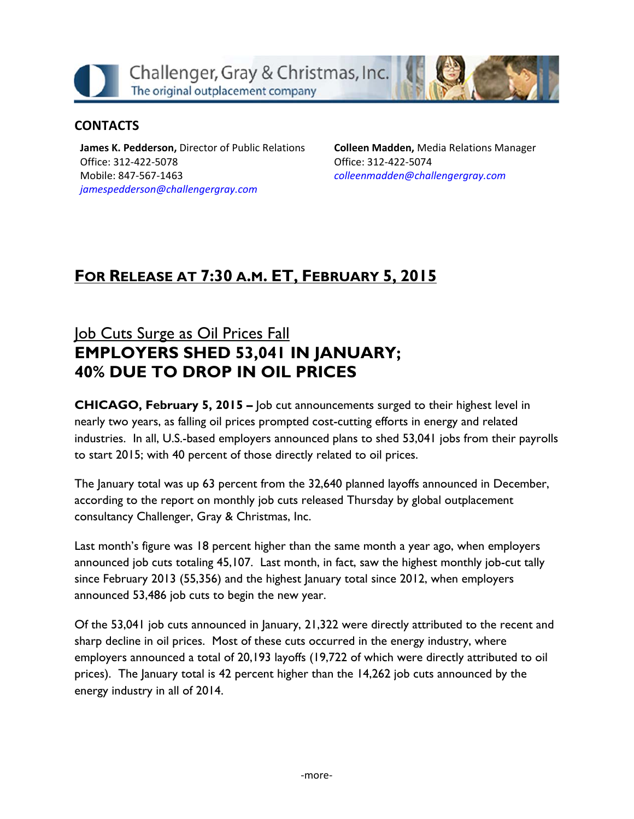Challenger, Gray & Christmas, Inc. The original outplacement company

### **CONTACTS**

**James K. Pedderson,** Director of Public Relations Office: 312‐422‐5078 Mobile: 847‐567‐1463 *jamespedderson@challengergray.com*

**Colleen Madden,** Media Relations Manager Office: 312‐422‐5074 *colleenmadden@challengergray.com*

# **FOR RELEASE AT 7:30 A.M. ET, FEBRUARY 5, 2015**

# Job Cuts Surge as Oil Prices Fall **EMPLOYERS SHED 53,041 IN JANUARY; 40% DUE TO DROP IN OIL PRICES**

**CHICAGO, February 5, 2015 –** Job cut announcements surged to their highest level in nearly two years, as falling oil prices prompted cost-cutting efforts in energy and related industries. In all, U.S.-based employers announced plans to shed 53,041 jobs from their payrolls to start 2015; with 40 percent of those directly related to oil prices.

The January total was up 63 percent from the 32,640 planned layoffs announced in December, according to the report on monthly job cuts released Thursday by global outplacement consultancy Challenger, Gray & Christmas, Inc.

Last month's figure was 18 percent higher than the same month a year ago, when employers announced job cuts totaling 45,107. Last month, in fact, saw the highest monthly job-cut tally since February 2013 (55,356) and the highest January total since 2012, when employers announced 53,486 job cuts to begin the new year.

Of the 53,041 job cuts announced in January, 21,322 were directly attributed to the recent and sharp decline in oil prices. Most of these cuts occurred in the energy industry, where employers announced a total of 20,193 layoffs (19,722 of which were directly attributed to oil prices). The January total is 42 percent higher than the 14,262 job cuts announced by the energy industry in all of 2014.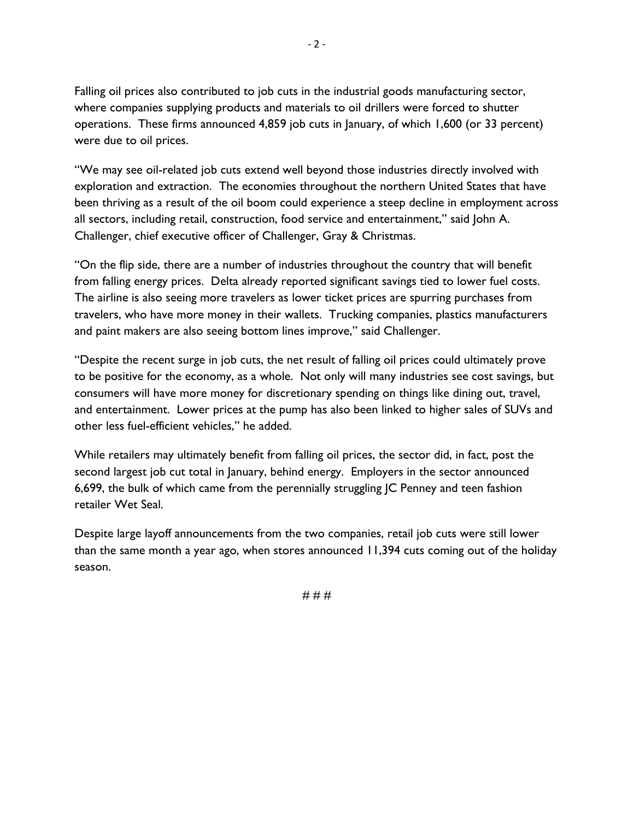Falling oil prices also contributed to job cuts in the industrial goods manufacturing sector, where companies supplying products and materials to oil drillers were forced to shutter operations. These firms announced 4,859 job cuts in January, of which 1,600 (or 33 percent) were due to oil prices.

"We may see oil-related job cuts extend well beyond those industries directly involved with exploration and extraction. The economies throughout the northern United States that have been thriving as a result of the oil boom could experience a steep decline in employment across all sectors, including retail, construction, food service and entertainment," said John A. Challenger, chief executive officer of Challenger, Gray & Christmas.

"On the flip side, there are a number of industries throughout the country that will benefit from falling energy prices. Delta already reported significant savings tied to lower fuel costs. The airline is also seeing more travelers as lower ticket prices are spurring purchases from travelers, who have more money in their wallets. Trucking companies, plastics manufacturers and paint makers are also seeing bottom lines improve," said Challenger.

"Despite the recent surge in job cuts, the net result of falling oil prices could ultimately prove to be positive for the economy, as a whole. Not only will many industries see cost savings, but consumers will have more money for discretionary spending on things like dining out, travel, and entertainment. Lower prices at the pump has also been linked to higher sales of SUVs and other less fuel-efficient vehicles," he added.

While retailers may ultimately benefit from falling oil prices, the sector did, in fact, post the second largest job cut total in January, behind energy. Employers in the sector announced 6,699, the bulk of which came from the perennially struggling JC Penney and teen fashion retailer Wet Seal.

Despite large layoff announcements from the two companies, retail job cuts were still lower than the same month a year ago, when stores announced 11,394 cuts coming out of the holiday season.

 $-2 -$ 

# # #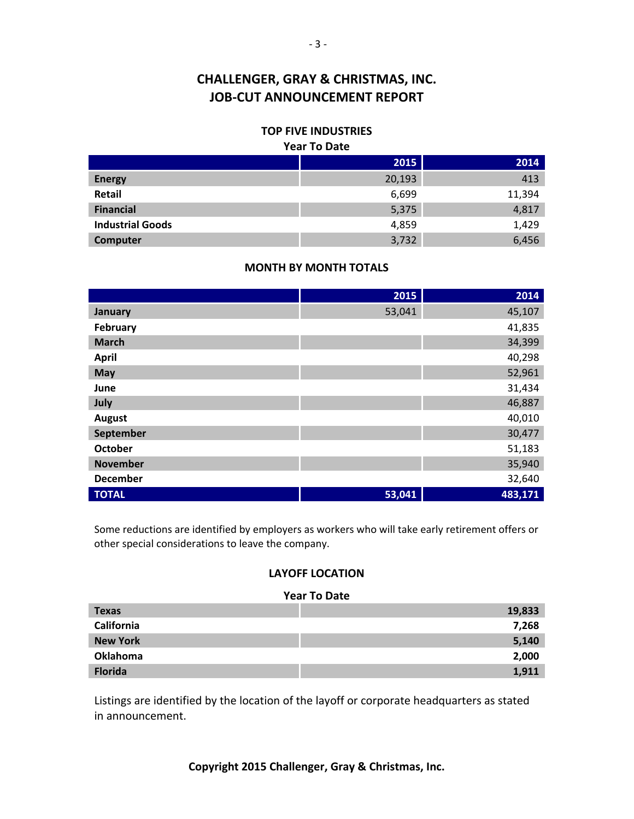### **TOP FIVE INDUSTRIES**

#### **Year To Date**

|                         | 2015   | 2014   |
|-------------------------|--------|--------|
| <b>Energy</b>           | 20,193 | 413    |
| Retail                  | 6,699  | 11,394 |
| <b>Financial</b>        | 5,375  | 4,817  |
| <b>Industrial Goods</b> | 4,859  | 1,429  |
| Computer                | 3,732  | 6,456  |

#### **MONTH BY MONTH TOTALS**

|                 | 2015   | 2014    |
|-----------------|--------|---------|
| January         | 53,041 | 45,107  |
| February        |        | 41,835  |
| <b>March</b>    |        | 34,399  |
| <b>April</b>    |        | 40,298  |
| May             |        | 52,961  |
| June            |        | 31,434  |
| July            |        | 46,887  |
| <b>August</b>   |        | 40,010  |
| September       |        | 30,477  |
| <b>October</b>  |        | 51,183  |
| <b>November</b> |        | 35,940  |
| <b>December</b> |        | 32,640  |
| <b>TOTAL</b>    | 53,041 | 483,171 |

Some reductions are identified by employers as workers who will take early retirement offers or other special considerations to leave the company.

#### **LAYOFF LOCATION**

#### **Year To Date**

| <b>Texas</b>    | 19,833 |
|-----------------|--------|
| California      | 7,268  |
| <b>New York</b> | 5,140  |
| <b>Oklahoma</b> | 2,000  |
| <b>Florida</b>  | 1,911  |

Listings are identified by the location of the layoff or corporate headquarters as stated in announcement.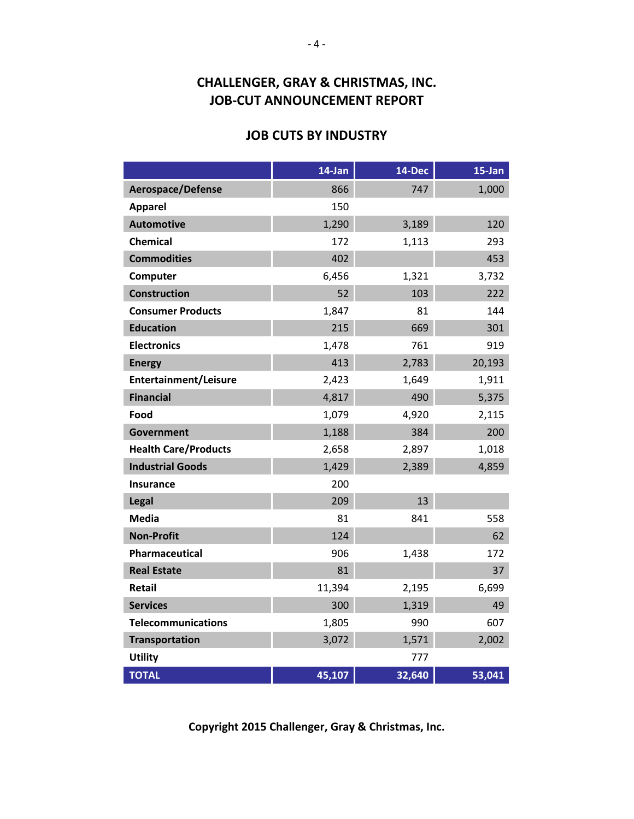### **JOB CUTS BY INDUSTRY**

|                              | 14-Jan | 14-Dec | 15-Jan |
|------------------------------|--------|--------|--------|
| Aerospace/Defense            | 866    | 747    | 1,000  |
| <b>Apparel</b>               | 150    |        |        |
| <b>Automotive</b>            | 1,290  | 3,189  | 120    |
| <b>Chemical</b>              | 172    | 1,113  | 293    |
| <b>Commodities</b>           | 402    |        | 453    |
| Computer                     | 6,456  | 1,321  | 3,732  |
| <b>Construction</b>          | 52     | 103    | 222    |
| <b>Consumer Products</b>     | 1,847  | 81     | 144    |
| <b>Education</b>             | 215    | 669    | 301    |
| <b>Electronics</b>           | 1,478  | 761    | 919    |
| <b>Energy</b>                | 413    | 2,783  | 20,193 |
| <b>Entertainment/Leisure</b> | 2,423  | 1,649  | 1,911  |
| <b>Financial</b>             | 4,817  | 490    | 5,375  |
| Food                         | 1,079  | 4,920  | 2,115  |
| <b>Government</b>            | 1,188  | 384    | 200    |
| <b>Health Care/Products</b>  | 2,658  | 2,897  | 1,018  |
| <b>Industrial Goods</b>      | 1,429  | 2,389  | 4,859  |
| <b>Insurance</b>             | 200    |        |        |
| Legal                        | 209    | 13     |        |
| <b>Media</b>                 | 81     | 841    | 558    |
| <b>Non-Profit</b>            | 124    |        | 62     |
| Pharmaceutical               | 906    | 1,438  | 172    |
| <b>Real Estate</b>           | 81     |        | 37     |
| <b>Retail</b>                | 11,394 | 2,195  | 6,699  |
| <b>Services</b>              | 300    | 1,319  | 49     |
| <b>Telecommunications</b>    | 1,805  | 990    | 607    |
| <b>Transportation</b>        | 3,072  | 1,571  | 2,002  |
| <b>Utility</b>               |        | 777    |        |
| <b>TOTAL</b>                 | 45,107 | 32,640 | 53,041 |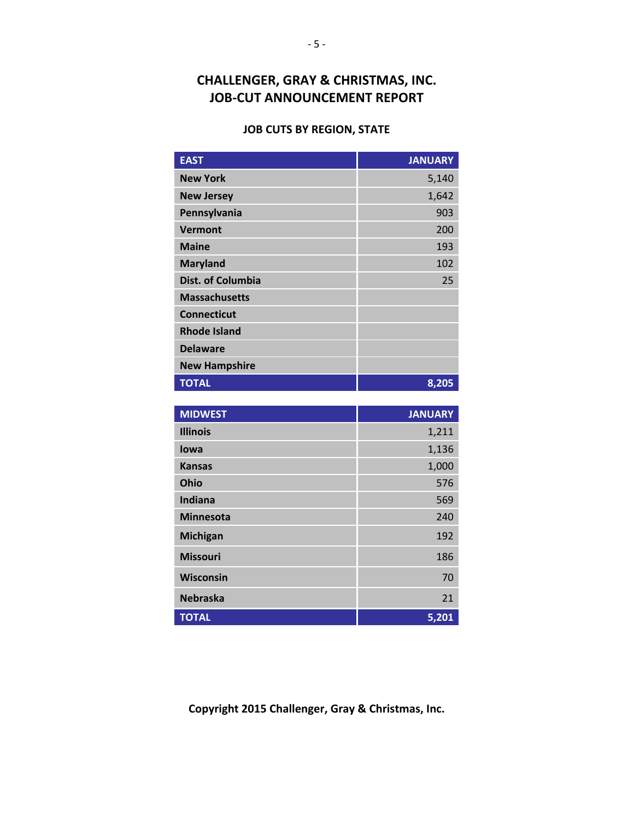#### **JOB CUTS BY REGION, STATE**

| <b>EAST</b>              | <b>JANUARY</b> |
|--------------------------|----------------|
| <b>New York</b>          | 5,140          |
| <b>New Jersey</b>        | 1,642          |
| Pennsylvania             | 903            |
| <b>Vermont</b>           | 200            |
| <b>Maine</b>             | 193            |
| <b>Maryland</b>          | 102            |
| <b>Dist. of Columbia</b> | 25             |
| <b>Massachusetts</b>     |                |
| <b>Connecticut</b>       |                |
| <b>Rhode Island</b>      |                |
| <b>Delaware</b>          |                |
| <b>New Hampshire</b>     |                |
| <b>TOTAL</b>             | 8,205          |

| <b>MIDWEST</b>   | <b>JANUARY</b> |
|------------------|----------------|
| <b>Illinois</b>  | 1,211          |
| lowa             | 1,136          |
| <b>Kansas</b>    | 1,000          |
| Ohio             | 576            |
| <b>Indiana</b>   | 569            |
| <b>Minnesota</b> | 240            |
| <b>Michigan</b>  | 192            |
| <b>Missouri</b>  | 186            |
| Wisconsin        | 70             |
| <b>Nebraska</b>  | 21             |
| <b>TOTAL</b>     | 5,201          |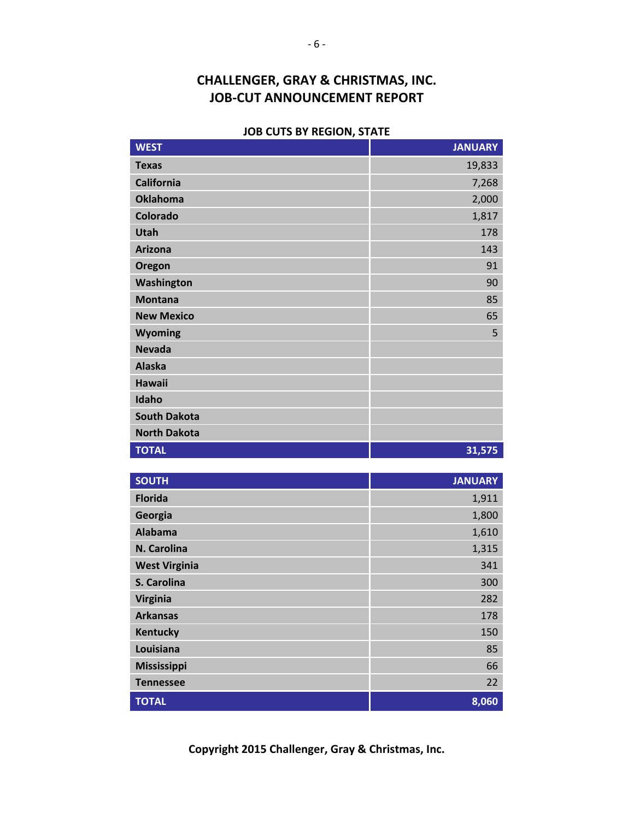#### **JOB CUTS BY REGION, STATE**

| <b>WEST</b>         | <b>JANUARY</b> |
|---------------------|----------------|
| <b>Texas</b>        | 19,833         |
| <b>California</b>   | 7,268          |
| <b>Oklahoma</b>     | 2,000          |
| Colorado            | 1,817          |
| <b>Utah</b>         | 178            |
| <b>Arizona</b>      | 143            |
| Oregon              | 91             |
| Washington          | 90             |
| <b>Montana</b>      | 85             |
| <b>New Mexico</b>   | 65             |
| Wyoming             | 5              |
| <b>Nevada</b>       |                |
| <b>Alaska</b>       |                |
| <b>Hawaii</b>       |                |
| Idaho               |                |
| <b>South Dakota</b> |                |
| <b>North Dakota</b> |                |
| <b>TOTAL</b>        | 31,575         |

| <b>SOUTH</b>         | <b>JANUARY</b> |
|----------------------|----------------|
| <b>Florida</b>       | 1,911          |
| Georgia              | 1,800          |
| <b>Alabama</b>       | 1,610          |
| N. Carolina          | 1,315          |
| <b>West Virginia</b> | 341            |
| S. Carolina          | 300            |
| <b>Virginia</b>      | 282            |
| <b>Arkansas</b>      | 178            |
| Kentucky             | 150            |
| Louisiana            | 85             |
| <b>Mississippi</b>   | 66             |
| <b>Tennessee</b>     | 22             |
| <b>TOTAL</b>         | 8,060          |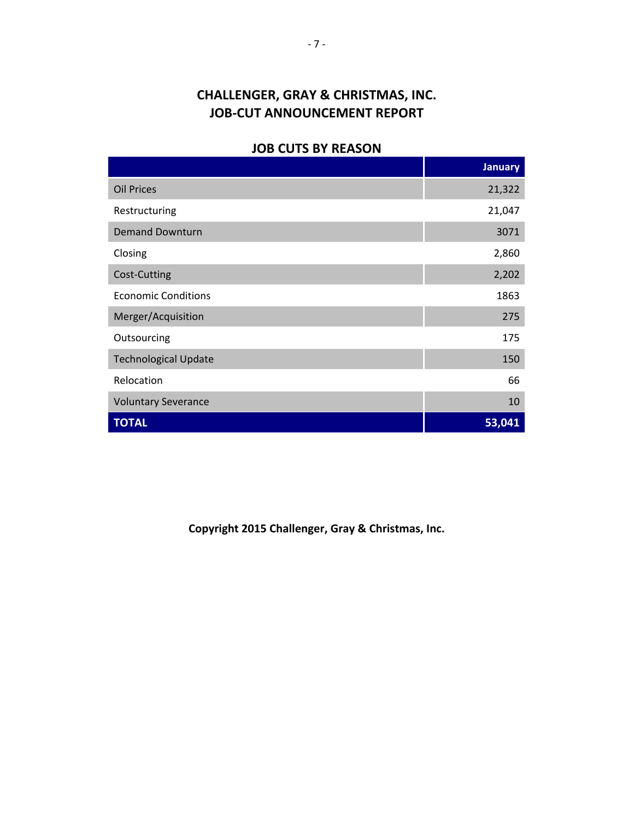#### **JOB CUTS BY REASON**

|                             | <b>January</b> |
|-----------------------------|----------------|
| <b>Oil Prices</b>           | 21,322         |
| Restructuring               | 21,047         |
| <b>Demand Downturn</b>      | 3071           |
| Closing                     | 2,860          |
| Cost-Cutting                | 2,202          |
| <b>Economic Conditions</b>  | 1863           |
| Merger/Acquisition          | 275            |
| Outsourcing                 | 175            |
| <b>Technological Update</b> | 150            |
| Relocation                  | 66             |
| <b>Voluntary Severance</b>  | 10             |
| <b>TOTAL</b>                | 53,041         |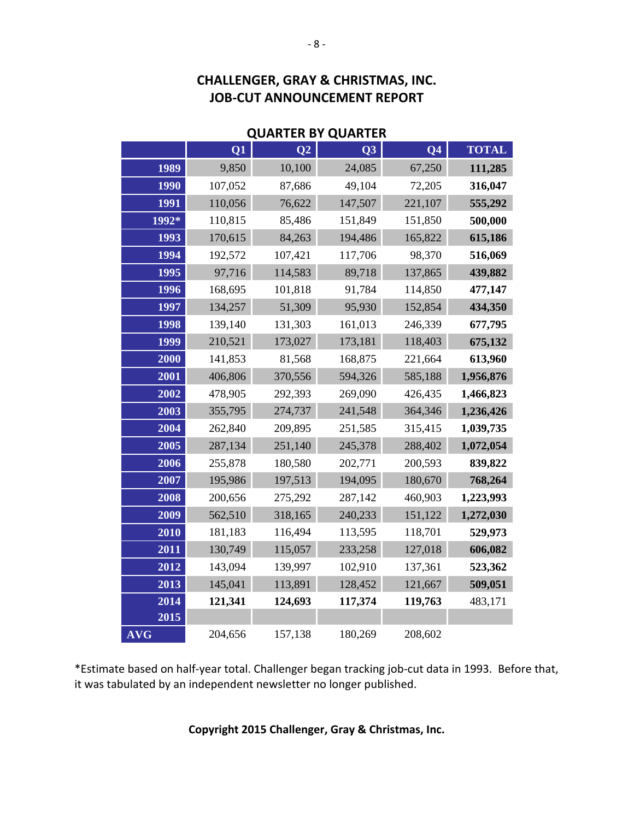| <b>QUARTER BY QUARTER</b> |         |                |         |                |              |
|---------------------------|---------|----------------|---------|----------------|--------------|
|                           | Q1      | Q <sub>2</sub> | Q3      | Q <sub>4</sub> | <b>TOTAL</b> |
| 1989                      | 9,850   | 10,100         | 24,085  | 67,250         | 111,285      |
| 1990                      | 107,052 | 87,686         | 49,104  | 72,205         | 316,047      |
| 1991                      | 110,056 | 76,622         | 147,507 | 221,107        | 555,292      |
| 1992*                     | 110,815 | 85,486         | 151,849 | 151,850        | 500,000      |
| 1993                      | 170,615 | 84,263         | 194,486 | 165,822        | 615,186      |
| 1994                      | 192,572 | 107,421        | 117,706 | 98,370         | 516,069      |
| 1995                      | 97,716  | 114,583        | 89,718  | 137,865        | 439,882      |
| 1996                      | 168,695 | 101,818        | 91,784  | 114,850        | 477,147      |
| 1997                      | 134,257 | 51,309         | 95,930  | 152,854        | 434,350      |
| 1998                      | 139,140 | 131,303        | 161,013 | 246,339        | 677,795      |
| 1999                      | 210,521 | 173,027        | 173,181 | 118,403        | 675,132      |
| 2000                      | 141,853 | 81,568         | 168,875 | 221,664        | 613,960      |
| 2001                      | 406,806 | 370,556        | 594,326 | 585,188        | 1,956,876    |
| 2002                      | 478,905 | 292,393        | 269,090 | 426,435        | 1,466,823    |
| 2003                      | 355,795 | 274,737        | 241,548 | 364,346        | 1,236,426    |
| 2004                      | 262,840 | 209,895        | 251,585 | 315,415        | 1,039,735    |
| 2005                      | 287,134 | 251,140        | 245,378 | 288,402        | 1,072,054    |
| 2006                      | 255,878 | 180,580        | 202,771 | 200,593        | 839,822      |
| 2007                      | 195,986 | 197,513        | 194,095 | 180,670        | 768,264      |
| 2008                      | 200,656 | 275,292        | 287,142 | 460,903        | 1,223,993    |
| 2009                      | 562,510 | 318,165        | 240,233 | 151,122        | 1,272,030    |
| 2010                      | 181,183 | 116,494        | 113,595 | 118,701        | 529,973      |
| 2011                      | 130,749 | 115,057        | 233,258 | 127,018        | 606,082      |
| 2012                      | 143,094 | 139,997        | 102,910 | 137,361        | 523,362      |
| 2013                      | 145,041 | 113,891        | 128,452 | 121,667        | 509,051      |
| 2014                      | 121,341 | 124,693        | 117,374 | 119,763        | 483,171      |
| 2015                      |         |                |         |                |              |
| <b>AVG</b>                | 204,656 | 157,138        | 180,269 | 208,602        |              |

\*Estimate based on half‐year total. Challenger began tracking job‐cut data in 1993. Before that, it was tabulated by an independent newsletter no longer published.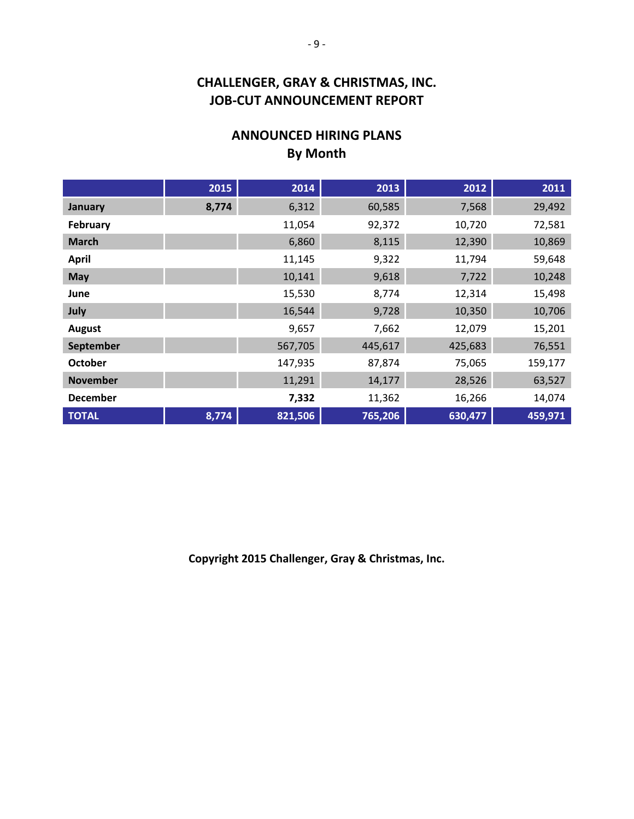## **ANNOUNCED HIRING PLANS By Month**

|                 | 2015  | 2014    | 2013    | 2012    | 2011    |
|-----------------|-------|---------|---------|---------|---------|
| <b>January</b>  | 8,774 | 6,312   | 60,585  | 7,568   | 29,492  |
| February        |       | 11,054  | 92,372  | 10,720  | 72,581  |
| <b>March</b>    |       | 6,860   | 8,115   | 12,390  | 10,869  |
| <b>April</b>    |       | 11,145  | 9,322   | 11,794  | 59,648  |
| May             |       | 10,141  | 9,618   | 7,722   | 10,248  |
| June            |       | 15,530  | 8,774   | 12,314  | 15,498  |
| July            |       | 16,544  | 9,728   | 10,350  | 10,706  |
| <b>August</b>   |       | 9,657   | 7,662   | 12,079  | 15,201  |
| September       |       | 567,705 | 445,617 | 425,683 | 76,551  |
| <b>October</b>  |       | 147,935 | 87,874  | 75,065  | 159,177 |
| <b>November</b> |       | 11,291  | 14,177  | 28,526  | 63,527  |
| <b>December</b> |       | 7,332   | 11,362  | 16,266  | 14,074  |
| <b>TOTAL</b>    | 8,774 | 821,506 | 765,206 | 630,477 | 459,971 |